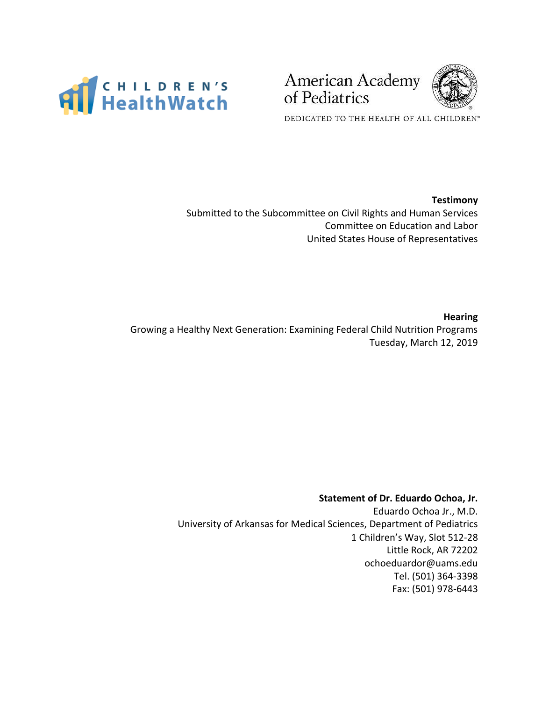

American Academy of Pediatrics



DEDICATED TO THE HEALTH OF ALL CHILDREN"

### **Testimony**

Submitted to the Subcommittee on Civil Rights and Human Services Committee on Education and Labor United States House of Representatives

#### **Hearing**

Growing a Healthy Next Generation: Examining Federal Child Nutrition Programs Tuesday, March 12, 2019

### **Statement of Dr. Eduardo Ochoa, Jr.**

Eduardo Ochoa Jr., M.D. University of Arkansas for Medical Sciences, Department of Pediatrics 1 Children's Way, Slot 512-28 Little Rock, AR 72202 ochoeduardor@uams.edu Tel. (501) 364-3398 Fax: (501) 978-6443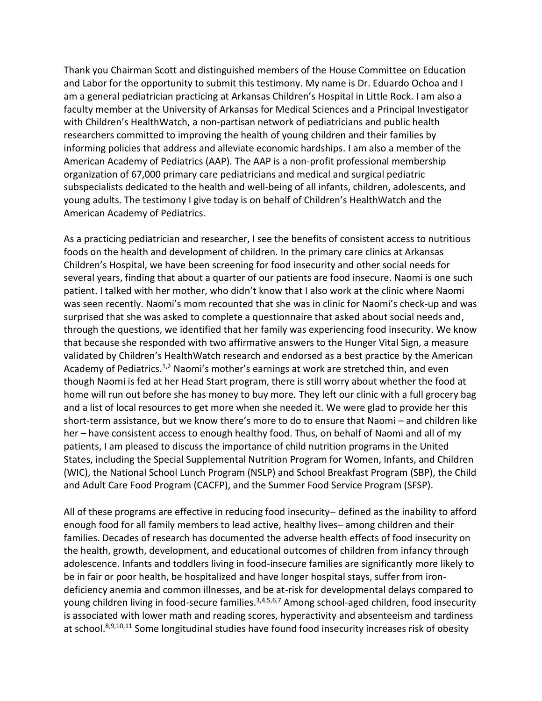Thank you Chairman Scott and distinguished members of the House Committee on Education and Labor for the opportunity to submit this testimony. My name is Dr. Eduardo Ochoa and I am a general pediatrician practicing at Arkansas Children's Hospital in Little Rock. I am also a faculty member at the University of Arkansas for Medical Sciences and a Principal Investigator with Children's HealthWatch, a non-partisan network of pediatricians and public health researchers committed to improving the health of young children and their families by informing policies that address and alleviate economic hardships. I am also a member of the American Academy of Pediatrics (AAP). The AAP is a non-profit professional membership organization of 67,000 primary care pediatricians and medical and surgical pediatric subspecialists dedicated to the health and well-being of all infants, children, adolescents, and young adults. The testimony I give today is on behalf of Children's HealthWatch and the American Academy of Pediatrics.

As a practicing pediatrician and researcher, I see the benefits of consistent access to nutritious foods on the health and development of children. In the primary care clinics at Arkansas Children's Hospital, we have been screening for food insecurity and other social needs for several years, finding that about a quarter of our patients are food insecure. Naomi is one such patient. I talked with her mother, who didn't know that I also work at the clinic where Naomi was seen recently. Naomi's mom recounted that she was in clinic for Naomi's check-up and was surprised that she was asked to complete a questionnaire that asked about social needs and, through the questions, we identified that her family was experiencing food insecurity. We know that because she responded with two affirmative answers to the Hunger Vital Sign, a measure validated by Children's HealthWatch research and endorsed as a best practice by the American Academy of Pediatrics.<sup>1,2</sup> Naomi's mother's earnings at work are stretched thin, and even though Naomi is fed at her Head Start program, there is still worry about whether the food at home will run out before she has money to buy more. They left our clinic with a full grocery bag and a list of local resources to get more when she needed it. We were glad to provide her this short-term assistance, but we know there's more to do to ensure that Naomi – and children like her – have consistent access to enough healthy food. Thus, on behalf of Naomi and all of my patients, I am pleased to discuss the importance of child nutrition programs in the United States, including the Special Supplemental Nutrition Program for Women, Infants, and Children (WIC), the National School Lunch Program (NSLP) and School Breakfast Program (SBP), the Child and Adult Care Food Program (CACFP), and the Summer Food Service Program (SFSP).

All of these programs are effective in reducing food insecurity− defined as the inability to afford enough food for all family members to lead active, healthy lives– among children and their families. Decades of research has documented the adverse health effects of food insecurity on the health, growth, development, and educational outcomes of children from infancy through adolescence. Infants and toddlers living in food-insecure families are significantly more likely to be in fair or poor health, be hospitalized and have longer hospital stays, suffer from irondeficiency anemia and common illnesses, and be at-risk for developmental delays compared to young children living in food-secure families.<sup>3,4,5,6,7</sup> Among school-aged children, food insecurity is associated with lower math and reading scores, hyperactivity and absenteeism and tardiness at school.<sup>8,9,10,11</sup> Some longitudinal studies have found food insecurity increases risk of obesity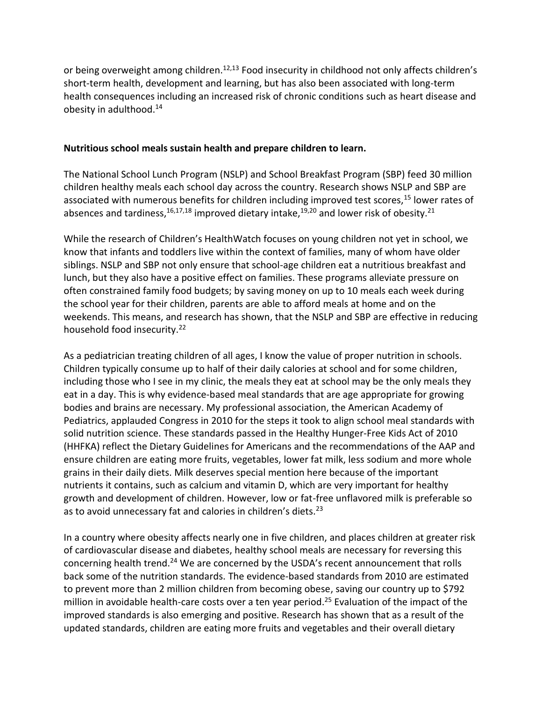or being overweight among children.<sup>12,13</sup> Food insecurity in childhood not only affects children's short-term health, development and learning, but has also been associated with long-term health consequences including an increased risk of chronic conditions such as heart disease and obesity in adulthood.<sup>14</sup>

## **Nutritious school meals sustain health and prepare children to learn.**

The National School Lunch Program (NSLP) and School Breakfast Program (SBP) feed 30 million children healthy meals each school day across the country. Research shows NSLP and SBP are associated with numerous benefits for children including improved test scores,<sup>15</sup> lower rates of absences and tardiness,  $16,17,18$  improved dietary intake,  $19,20$  and lower risk of obesity.  $21$ 

While the research of Children's HealthWatch focuses on young children not yet in school, we know that infants and toddlers live within the context of families, many of whom have older siblings. NSLP and SBP not only ensure that school-age children eat a nutritious breakfast and lunch, but they also have a positive effect on families. These programs alleviate pressure on often constrained family food budgets; by saving money on up to 10 meals each week during the school year for their children, parents are able to afford meals at home and on the weekends. This means, and research has shown, that the NSLP and SBP are effective in reducing household food insecurity.<sup>22</sup>

As a pediatrician treating children of all ages, I know the value of proper nutrition in schools. Children typically consume up to half of their daily calories at school and for some children, including those who I see in my clinic, the meals they eat at school may be the only meals they eat in a day. This is why evidence-based meal standards that are age appropriate for growing bodies and brains are necessary. My professional association, the American Academy of Pediatrics, applauded Congress in 2010 for the steps it took to align school meal standards with solid nutrition science. These standards passed in the Healthy Hunger-Free Kids Act of 2010 (HHFKA) reflect the Dietary Guidelines for Americans and the recommendations of the AAP and ensure children are eating more fruits, vegetables, lower fat milk, less sodium and more whole grains in their daily diets. Milk deserves special mention here because of the important nutrients it contains, such as calcium and vitamin D, which are very important for healthy growth and development of children. However, low or fat-free unflavored milk is preferable so as to avoid unnecessary fat and calories in children's diets.<sup>23</sup>

In a country where obesity affects nearly one in five children, and places children at greater risk of cardiovascular disease and diabetes, healthy school meals are necessary for reversing this concerning health trend.<sup>24</sup> We are concerned by the USDA's recent announcement that rolls back some of the nutrition standards. The evidence-based standards from 2010 are estimated to prevent more than 2 million children from becoming obese, saving our country up to \$792 million in avoidable health-care costs over a ten year period.<sup>25</sup> Evaluation of the impact of the improved standards is also emerging and positive. Research has shown that as a result of the updated standards, children are eating more fruits and vegetables and their overall dietary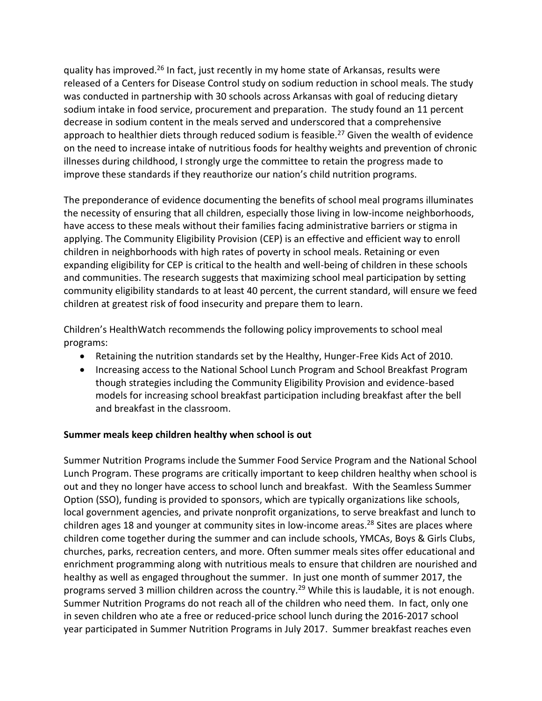quality has improved.<sup>26</sup> In fact, just recently in my home state of Arkansas, results were released of a Centers for Disease Control study on sodium reduction in school meals. The study was conducted in partnership with 30 schools across Arkansas with goal of reducing dietary sodium intake in food service, procurement and preparation. The study found an 11 percent decrease in sodium content in the meals served and underscored that a comprehensive approach to healthier diets through reduced sodium is feasible.<sup>27</sup> Given the wealth of evidence on the need to increase intake of nutritious foods for healthy weights and prevention of chronic illnesses during childhood, I strongly urge the committee to retain the progress made to improve these standards if they reauthorize our nation's child nutrition programs.

The preponderance of evidence documenting the benefits of school meal programs illuminates the necessity of ensuring that all children, especially those living in low-income neighborhoods, have access to these meals without their families facing administrative barriers or stigma in applying. The Community Eligibility Provision (CEP) is an effective and efficient way to enroll children in neighborhoods with high rates of poverty in school meals. Retaining or even expanding eligibility for CEP is critical to the health and well-being of children in these schools and communities. The research suggests that maximizing school meal participation by setting community eligibility standards to at least 40 percent, the current standard, will ensure we feed children at greatest risk of food insecurity and prepare them to learn.

Children's HealthWatch recommends the following policy improvements to school meal programs:

- Retaining the nutrition standards set by the Healthy, Hunger-Free Kids Act of 2010.
- Increasing access to the National School Lunch Program and School Breakfast Program though strategies including the Community Eligibility Provision and evidence-based models for increasing school breakfast participation including breakfast after the bell and breakfast in the classroom.

## **Summer meals keep children healthy when school is out**

Summer Nutrition Programs include the Summer Food Service Program and the National School Lunch Program. These programs are critically important to keep children healthy when school is out and they no longer have access to school lunch and breakfast. With the Seamless Summer Option (SSO), funding is provided to sponsors, which are typically organizations like schools, local government agencies, and private nonprofit organizations, to serve breakfast and lunch to children ages 18 and younger at community sites in low-income areas.<sup>28</sup> Sites are places where children come together during the summer and can include schools, YMCAs, Boys & Girls Clubs, churches, parks, recreation centers, and more. Often summer meals sites offer educational and enrichment programming along with nutritious meals to ensure that children are nourished and healthy as well as engaged throughout the summer. In just one month of summer 2017, the programs served 3 million children across the country.<sup>29</sup> While this is laudable, it is not enough. Summer Nutrition Programs do not reach all of the children who need them. In fact, only one in seven children who ate a free or reduced-price school lunch during the 2016-2017 school year participated in Summer Nutrition Programs in July 2017. Summer breakfast reaches even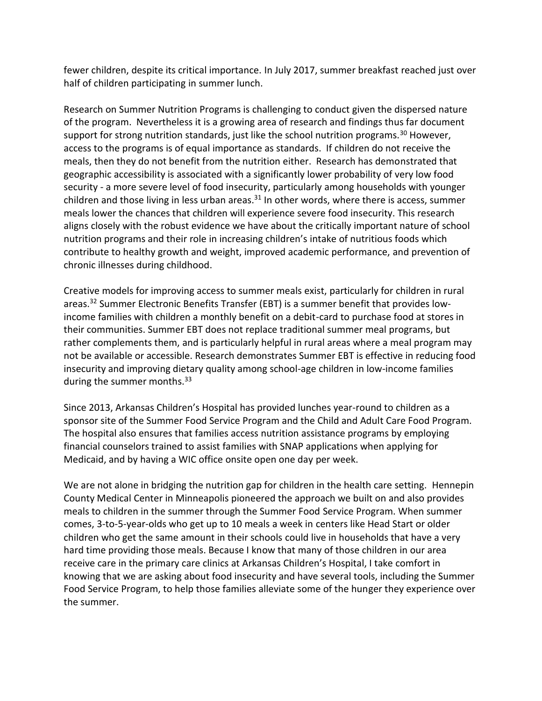fewer children, despite its critical importance. In July 2017, summer breakfast reached just over half of children participating in summer lunch.

Research on Summer Nutrition Programs is challenging to conduct given the dispersed nature of the program. Nevertheless it is a growing area of research and findings thus far document support for strong nutrition standards, just like the school nutrition programs.<sup>30</sup> However, access to the programs is of equal importance as standards. If children do not receive the meals, then they do not benefit from the nutrition either. Research has demonstrated that geographic accessibility is associated with a significantly lower probability of very low food security - a more severe level of food insecurity, particularly among households with younger children and those living in less urban areas. $31$  In other words, where there is access, summer meals lower the chances that children will experience severe food insecurity. This research aligns closely with the robust evidence we have about the critically important nature of school nutrition programs and their role in increasing children's intake of nutritious foods which contribute to healthy growth and weight, improved academic performance, and prevention of chronic illnesses during childhood.

Creative models for improving access to summer meals exist, particularly for children in rural areas.<sup>32</sup> Summer Electronic Benefits Transfer (EBT) is a summer benefit that provides lowincome families with children a monthly benefit on a debit-card to purchase food at stores in their communities. Summer EBT does not replace traditional summer meal programs, but rather complements them, and is particularly helpful in rural areas where a meal program may not be available or accessible. Research demonstrates Summer EBT is effective in reducing food insecurity and improving dietary quality among school-age children in low-income families during the summer months.<sup>33</sup>

Since 2013, Arkansas Children's Hospital has provided lunches year-round to children as a sponsor site of the Summer Food Service Program and the Child and Adult Care Food Program. The hospital also ensures that families access nutrition assistance programs by employing financial counselors trained to assist families with SNAP applications when applying for Medicaid, and by having a WIC office onsite open one day per week.

We are not alone in bridging the nutrition gap for children in the health care setting. Hennepin County Medical Center in Minneapolis pioneered the approach we built on and also provides meals to children in the summer through the Summer Food Service Program. When summer comes, 3-to-5-year-olds who get up to 10 meals a week in centers like Head Start or older children who get the same amount in their schools could live in households that have a very hard time providing those meals. Because I know that many of those children in our area receive care in the primary care clinics at Arkansas Children's Hospital, I take comfort in knowing that we are asking about food insecurity and have several tools, including the Summer Food Service Program, to help those families alleviate some of the hunger they experience over the summer.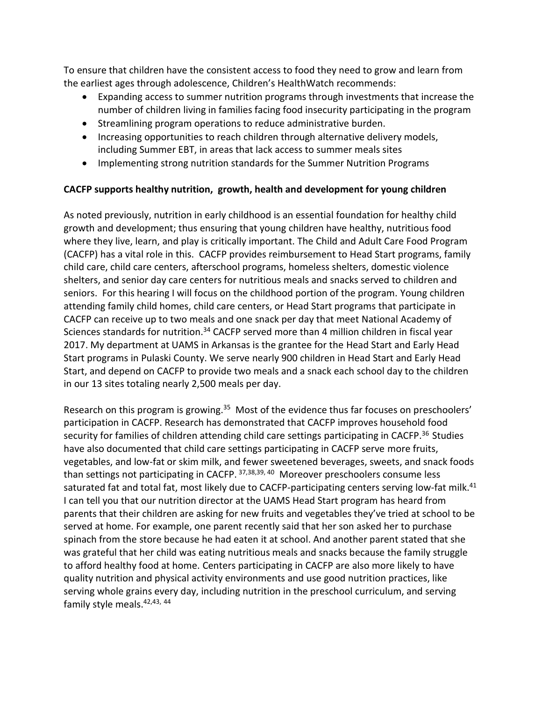To ensure that children have the consistent access to food they need to grow and learn from the earliest ages through adolescence, Children's HealthWatch recommends:

- Expanding access to summer nutrition programs through investments that increase the number of children living in families facing food insecurity participating in the program
- Streamlining program operations to reduce administrative burden.
- Increasing opportunities to reach children through alternative delivery models, including Summer EBT, in areas that lack access to summer meals sites
- Implementing strong nutrition standards for the Summer Nutrition Programs

# **CACFP supports healthy nutrition, growth, health and development for young children**

As noted previously, nutrition in early childhood is an essential foundation for healthy child growth and development; thus ensuring that young children have healthy, nutritious food where they live, learn, and play is critically important. The Child and Adult Care Food Program (CACFP) has a vital role in this. CACFP provides reimbursement to Head Start programs, family child care, child care centers, afterschool programs, homeless shelters, domestic violence shelters, and senior day care centers for nutritious meals and snacks served to children and seniors. For this hearing I will focus on the childhood portion of the program. Young children attending family child homes, child care centers, or Head Start programs that participate in CACFP can receive up to two meals and one snack per day that meet National Academy of Sciences standards for nutrition.<sup>34</sup> CACFP served more than 4 million children in fiscal year 2017. My department at UAMS in Arkansas is the grantee for the Head Start and Early Head Start programs in Pulaski County. We serve nearly 900 children in Head Start and Early Head Start, and depend on CACFP to provide two meals and a snack each school day to the children in our 13 sites totaling nearly 2,500 meals per day.

Research on this program is growing.<sup>35</sup> Most of the evidence thus far focuses on preschoolers' participation in CACFP. Research has demonstrated that CACFP improves household food security for families of children attending child care settings participating in CACFP.<sup>36</sup> Studies have also documented that child care settings participating in CACFP serve more fruits, vegetables, and low-fat or skim milk, and fewer sweetened beverages, sweets, and snack foods than settings not participating in CACFP. 37,38,39,40 Moreover preschoolers consume less saturated fat and total fat, most likely due to CACFP-participating centers serving low-fat milk.<sup>41</sup> I can tell you that our nutrition director at the UAMS Head Start program has heard from parents that their children are asking for new fruits and vegetables they've tried at school to be served at home. For example, one parent recently said that her son asked her to purchase spinach from the store because he had eaten it at school. And another parent stated that she was grateful that her child was eating nutritious meals and snacks because the family struggle to afford healthy food at home. Centers participating in CACFP are also more likely to have quality nutrition and physical activity environments and use good nutrition practices, like serving whole grains every day, including nutrition in the preschool curriculum, and serving family style meals.<sup>42,43, 44</sup>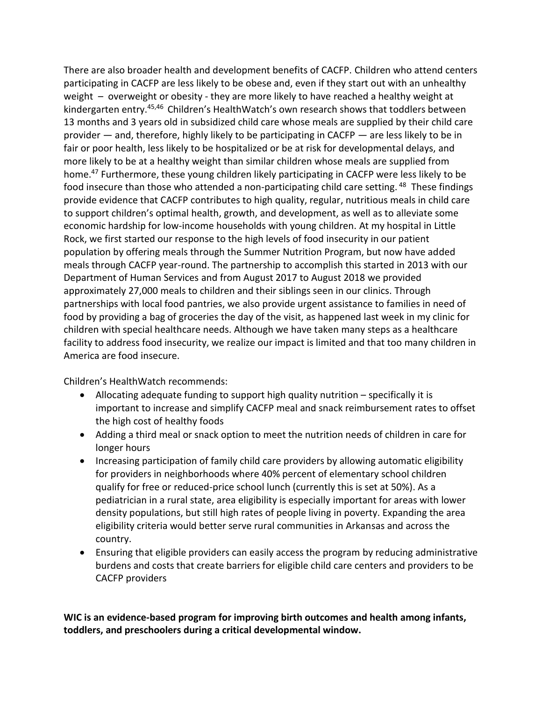There are also broader health and development benefits of CACFP. Children who attend centers participating in CACFP are less likely to be obese and, even if they start out with an unhealthy weight – overweight or obesity - they are more likely to have reached a healthy weight at kindergarten entry.<sup>45,46</sup> Children's HealthWatch's own research shows that toddlers between 13 months and 3 years old in subsidized child care whose meals are supplied by their child care provider — and, therefore, highly likely to be participating in CACFP — are less likely to be in fair or poor health, less likely to be hospitalized or be at risk for developmental delays, and more likely to be at a healthy weight than similar children whose meals are supplied from home.<sup>47</sup> Furthermore, these young children likely participating in CACFP were less likely to be food insecure than those who attended a non-participating child care setting. <sup>48</sup> These findings provide evidence that CACFP contributes to high quality, regular, nutritious meals in child care to support children's optimal health, growth, and development, as well as to alleviate some economic hardship for low-income households with young children. At my hospital in Little Rock, we first started our response to the high levels of food insecurity in our patient population by offering meals through the Summer Nutrition Program, but now have added meals through CACFP year-round. The partnership to accomplish this started in 2013 with our Department of Human Services and from August 2017 to August 2018 we provided approximately 27,000 meals to children and their siblings seen in our clinics. Through partnerships with local food pantries, we also provide urgent assistance to families in need of food by providing a bag of groceries the day of the visit, as happened last week in my clinic for children with special healthcare needs. Although we have taken many steps as a healthcare facility to address food insecurity, we realize our impact is limited and that too many children in America are food insecure.

Children's HealthWatch recommends:

- Allocating adequate funding to support high quality nutrition specifically it is important to increase and simplify CACFP meal and snack reimbursement rates to offset the high cost of healthy foods
- Adding a third meal or snack option to meet the nutrition needs of children in care for longer hours
- Increasing participation of family child care providers by allowing automatic eligibility for providers in neighborhoods where 40% percent of elementary school children qualify for free or reduced-price school lunch (currently this is set at 50%). As a pediatrician in a rural state, area eligibility is especially important for areas with lower density populations, but still high rates of people living in poverty. Expanding the area eligibility criteria would better serve rural communities in Arkansas and across the country.
- Ensuring that eligible providers can easily access the program by reducing administrative burdens and costs that create barriers for eligible child care centers and providers to be CACFP providers

**WIC is an evidence-based program for improving birth outcomes and health among infants, toddlers, and preschoolers during a critical developmental window.**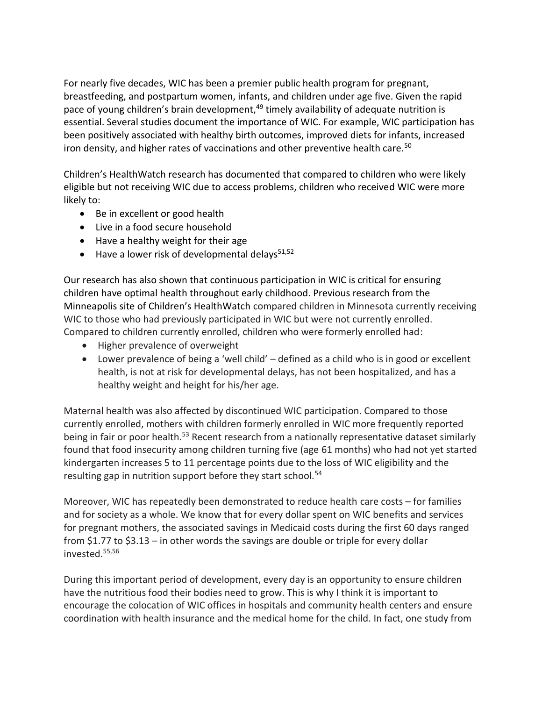For nearly five decades, WIC has been a premier public health program for pregnant, breastfeeding, and postpartum women, infants, and children under age five. Given the rapid pace of young children's brain development,<sup>49</sup> timely availability of adequate nutrition is essential. Several studies document the importance of WIC. For example, WIC participation has been positively associated with healthy birth outcomes, improved diets for infants, increased iron density, and higher rates of vaccinations and other preventive health care.<sup>50</sup>

Children's HealthWatch research has documented that compared to children who were likely eligible but not receiving WIC due to access problems, children who received WIC were more likely to:

- Be in excellent or good health
- Live in a food secure household
- Have a healthy weight for their age
- $\bullet$  Have a lower risk of developmental delays<sup>51,52</sup>

Our research has also shown that continuous participation in WIC is critical for ensuring children have optimal health throughout early childhood. Previous research from the Minneapolis site of Children's HealthWatch compared children in Minnesota currently receiving WIC to those who had previously participated in WIC but were not currently enrolled. Compared to children currently enrolled, children who were formerly enrolled had:

- Higher prevalence of overweight
- Lower prevalence of being a 'well child' defined as a child who is in good or excellent health, is not at risk for developmental delays, has not been hospitalized, and has a healthy weight and height for his/her age.

Maternal health was also affected by discontinued WIC participation. Compared to those currently enrolled, mothers with children formerly enrolled in WIC more frequently reported being in fair or poor health.<sup>53</sup> Recent research from a nationally representative dataset similarly found that food insecurity among children turning five (age 61 months) who had not yet started kindergarten increases 5 to 11 percentage points due to the loss of WIC eligibility and the resulting gap in nutrition support before they start school.<sup>54</sup>

Moreover, WIC has repeatedly been demonstrated to reduce health care costs – for families and for society as a whole. We know that for every dollar spent on WIC benefits and services for pregnant mothers, the associated savings in Medicaid costs during the first 60 days ranged from \$1.77 to \$3.13 – in other words the savings are double or triple for every dollar invested. 55,56

During this important period of development, every day is an opportunity to ensure children have the nutritious food their bodies need to grow. This is why I think it is important to encourage the colocation of WIC offices in hospitals and community health centers and ensure coordination with health insurance and the medical home for the child. In fact, one study from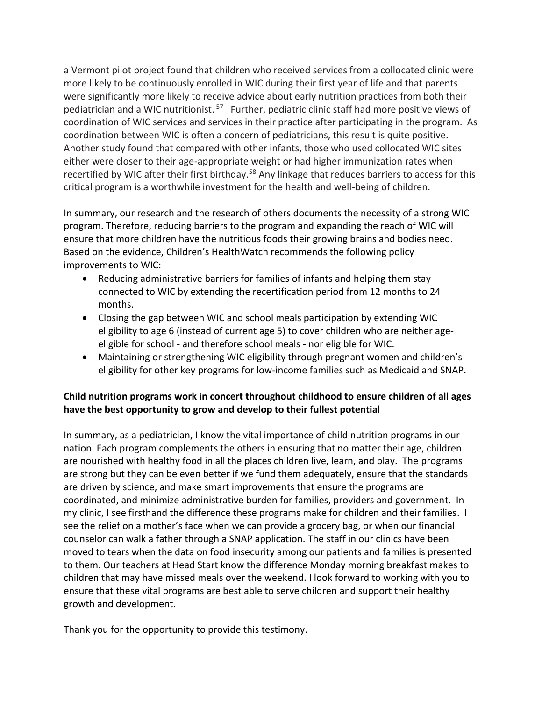a Vermont pilot project found that children who received services from a collocated clinic were more likely to be continuously enrolled in WIC during their first year of life and that parents were significantly more likely to receive advice about early nutrition practices from both their pediatrician and a WIC nutritionist.<sup>57</sup> Further, pediatric clinic staff had more positive views of coordination of WIC services and services in their practice after participating in the program. As coordination between WIC is often a concern of pediatricians, this result is quite positive. Another study found that compared with other infants, those who used collocated WIC sites either were closer to their age-appropriate weight or had higher immunization rates when recertified by WIC after their first birthday.<sup>58</sup> Any linkage that reduces barriers to access for this critical program is a worthwhile investment for the health and well-being of children.

In summary, our research and the research of others documents the necessity of a strong WIC program. Therefore, reducing barriers to the program and expanding the reach of WIC will ensure that more children have the nutritious foods their growing brains and bodies need. Based on the evidence, Children's HealthWatch recommends the following policy improvements to WIC:

- Reducing administrative barriers for families of infants and helping them stay connected to WIC by extending the recertification period from 12 months to 24 months.
- Closing the gap between WIC and school meals participation by extending WIC eligibility to age 6 (instead of current age 5) to cover children who are neither ageeligible for school - and therefore school meals - nor eligible for WIC.
- Maintaining or strengthening WIC eligibility through pregnant women and children's eligibility for other key programs for low-income families such as Medicaid and SNAP.

# **Child nutrition programs work in concert throughout childhood to ensure children of all ages have the best opportunity to grow and develop to their fullest potential**

In summary, as a pediatrician, I know the vital importance of child nutrition programs in our nation. Each program complements the others in ensuring that no matter their age, children are nourished with healthy food in all the places children live, learn, and play. The programs are strong but they can be even better if we fund them adequately, ensure that the standards are driven by science, and make smart improvements that ensure the programs are coordinated, and minimize administrative burden for families, providers and government. In my clinic, I see firsthand the difference these programs make for children and their families. I see the relief on a mother's face when we can provide a grocery bag, or when our financial counselor can walk a father through a SNAP application. The staff in our clinics have been moved to tears when the data on food insecurity among our patients and families is presented to them. Our teachers at Head Start know the difference Monday morning breakfast makes to children that may have missed meals over the weekend. I look forward to working with you to ensure that these vital programs are best able to serve children and support their healthy growth and development.

Thank you for the opportunity to provide this testimony.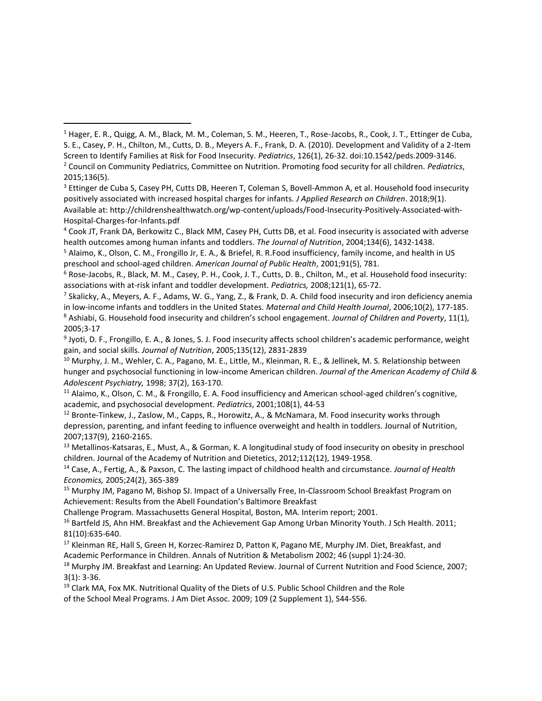$\overline{a}$ 

9 Jyoti, D. F., Frongillo, E. A., & Jones, S. J. Food insecurity affects school children's academic performance, weight gain, and social skills. *Journal of Nutrition*, 2005;135(12), 2831-2839

<sup>10</sup> Murphy, J. M., Wehler, C. A., Pagano, M. E., Little, M., Kleinman, R. E., & Jellinek, M. S. Relationship between hunger and psychosocial functioning in low-income American children. *Journal of the American Academy of Child & Adolescent Psychiatry,* 1998; 37(2), 163-170.

<sup>11</sup> Alaimo, K., Olson, C. M., & Frongillo, E. A. Food insufficiency and American school-aged children's cognitive, academic, and psychosocial development. *Pediatrics*, 2001;108(1), 44-53

<sup>12</sup> Bronte-Tinkew, J., Zaslow, M., Capps, R., Horowitz, A., & McNamara, M. Food insecurity works through depression, parenting, and infant feeding to influence overweight and health in toddlers. Journal of Nutrition, 2007;137(9), 2160-2165.

<sup>13</sup> Metallinos-Katsaras, E., Must, A., & Gorman, K. A longitudinal study of food insecurity on obesity in preschool children. Journal of the Academy of Nutrition and Dietetics, 2012;112(12), 1949-1958.

<sup>14</sup> Case, A., Fertig, A., & Paxson, C. The lasting impact of childhood health and circumstance. *Journal of Health Economics,* 2005;24(2), 365-389

<sup>15</sup> Murphy JM, Pagano M, Bishop SJ. Impact of a Universally Free, In-Classroom School Breakfast Program on Achievement: Results from the Abell Foundation's Baltimore Breakfast

Challenge Program. Massachusetts General Hospital, Boston, MA. Interim report; 2001.

<sup>16</sup> Bartfeld JS, Ahn HM. Breakfast and the Achievement Gap Among Urban Minority Youth. J Sch Health. 2011; 81(10):635-640.

<sup>17</sup> Kleinman RE, Hall S, Green H, Korzec-Ramirez D, Patton K, Pagano ME, Murphy JM. Diet, Breakfast, and Academic Performance in Children. Annals of Nutrition & Metabolism 2002; 46 (suppl 1):24-30.

<sup>18</sup> Murphy JM. Breakfast and Learning: An Updated Review. Journal of Current Nutrition and Food Science, 2007; 3(1): 3-36.

<sup>19</sup> Clark MA, Fox MK. Nutritional Quality of the Diets of U.S. Public School Children and the Role of the School Meal Programs. J Am Diet Assoc. 2009; 109 (2 Supplement 1), S44-S56.

<sup>1</sup> Hager, E. R., Quigg, A. M., Black, M. M., Coleman, S. M., Heeren, T., Rose-Jacobs, R., Cook, J. T., Ettinger de Cuba, S. E., Casey, P. H., Chilton, M., Cutts, D. B., Meyers A. F., Frank, D. A. (2010). Development and Validity of a 2-Item Screen to Identify Families at Risk for Food Insecurity. *Pediatrics*, 126(1), 26-32. doi:10.1542/peds.2009-3146. <sup>2</sup> Council on Community Pediatrics, Committee on Nutrition. Promoting food security for all children. *Pediatrics*, 2015;136(5).

<sup>&</sup>lt;sup>3</sup> Ettinger de Cuba S, Casey PH, Cutts DB, Heeren T, Coleman S, Bovell-Ammon A, et al. Household food insecurity positively associated with increased hospital charges for infants. *J Applied Research on Children*. 2018;9(1). Available at: http://childrenshealthwatch.org/wp-content/uploads/Food-Insecurity-Positively-Associated-with-Hospital-Charges-for-Infants.pdf

<sup>4</sup> Cook JT, Frank DA, Berkowitz C., Black MM, Casey PH, Cutts DB, et al. Food insecurity is associated with adverse health outcomes among human infants and toddlers. *The Journal of Nutrition*, 2004;134(6), 1432-1438.

<sup>5</sup> Alaimo, K., Olson, C. M., Frongillo Jr, E. A., & Briefel, R. R.Food insufficiency, family income, and health in US preschool and school-aged children. *American Journal of Public Health*, 2001;91(5), 781.

 $6$  Rose-Jacobs, R., Black, M. M., Casey, P. H., Cook, J. T., Cutts, D. B., Chilton, M., et al. Household food insecurity: associations with at-risk infant and toddler development. *Pediatrics,* 2008;121(1), 65-72.

<sup>7</sup> Skalicky, A., Meyers, A. F., Adams, W. G., Yang, Z., & Frank, D. A. Child food insecurity and iron deficiency anemia in low-income infants and toddlers in the United States. *Maternal and Child Health Journal*, 2006;10(2), 177-185. <sup>8</sup> Ashiabi, G. Household food insecurity and children's school engagement. *Journal of Children and Poverty*, 11(1), 2005;3-17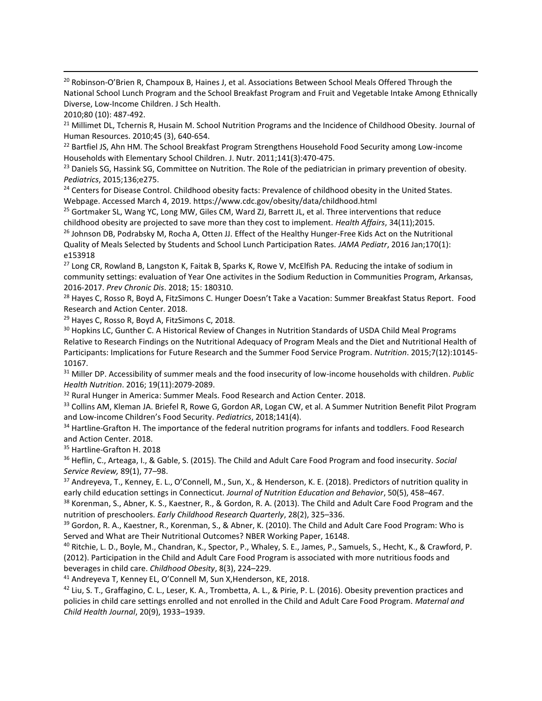<sup>20</sup> Robinson-O'Brien R, Champoux B, Haines J, et al. Associations Between School Meals Offered Through the National School Lunch Program and the School Breakfast Program and Fruit and Vegetable Intake Among Ethnically Diverse, Low-Income Children. J Sch Health.

2010;80 (10): 487-492.

 $\overline{a}$ 

<sup>21</sup> Millimet DL, Tchernis R, Husain M. School Nutrition Programs and the Incidence of Childhood Obesity. Journal of Human Resources. 2010;45 (3), 640-654.

<sup>22</sup> Bartfiel JS, Ahn HM. The School Breakfast Program Strengthens Household Food Security among Low-income Households with Elementary School Children. J. Nutr. 2011;141(3):470-475.

<sup>23</sup> Daniels SG, Hassink SG, Committee on Nutrition. The Role of the pediatrician in primary prevention of obesity. *Pediatrics*, 2015;136;e275.

<sup>24</sup> Centers for Disease Control. Childhood obesity facts: Prevalence of childhood obesity in the United States. Webpage. Accessed March 4, 2019. https://www.cdc.gov/obesity/data/childhood.html

<sup>25</sup> Gortmaker SL, Wang YC, Long MW, Giles CM, Ward ZJ, Barrett JL, et al. Three interventions that reduce childhood obesity are projected to save more than they cost to implement. *Health Affairs*, 34(11);2015.

<sup>26</sup> Johnson DB, Podrabsky M, Rocha A, Otten JJ. Effect of the Healthy Hunger-Free Kids Act on the Nutritional Quality of Meals Selected by Students and School Lunch Participation Rates. *JAMA Pediatr*, 2016 Jan;170(1): e153918

<sup>27</sup> Long CR, Rowland B, Langston K, Faitak B, Sparks K, Rowe V, McElfish PA. Reducing the intake of sodium in community settings: evaluation of Year One activites in the Sodium Reduction in Communities Program, Arkansas, 2016-2017. *Prev Chronic Dis*. 2018; 15: 180310.

<sup>28</sup> Hayes C, Rosso R, Boyd A, FitzSimons C. Hunger Doesn't Take a Vacation: Summer Breakfast Status Report. Food Research and Action Center. 2018.

<sup>29</sup> Hayes C, Rosso R, Boyd A, FitzSimons C, 2018.

30 Hopkins LC, Gunther C. A Historical Review of Changes in Nutrition Standards of USDA Child Meal Programs Relative to Research Findings on the Nutritional Adequacy of Program Meals and the Diet and Nutritional Health of Participants: Implications for Future Research and the Summer Food Service Program. *Nutrition*. 2015;7(12):10145- 10167.

<sup>31</sup> Miller DP. Accessibility of summer meals and the food insecurity of low-income households with children. *Public Health Nutrition*. 2016; 19(11):2079-2089.

<sup>32</sup> Rural Hunger in America: Summer Meals. Food Research and Action Center. 2018.

33 Collins AM, Kleman JA. Briefel R, Rowe G, Gordon AR, Logan CW, et al. A Summer Nutrition Benefit Pilot Program and Low-income Children's Food Security. *Pediatrics*, 2018;141(4).

34 Hartline-Grafton H. The importance of the federal nutrition programs for infants and toddlers. Food Research and Action Center. 2018.

<sup>35</sup> Hartline-Grafton H. 2018

<sup>36</sup> Heflin, C., Arteaga, I., & Gable, S. (2015). The Child and Adult Care Food Program and food insecurity. *Social Service Review,* 89(1), 77–98.

37 Andreyeva, T., Kenney, E. L., O'Connell, M., Sun, X., & Henderson, K. E. (2018). Predictors of nutrition quality in early child education settings in Connecticut. *Journal of Nutrition Education and Behavior*, 50(5), 458–467.

38 Korenman, S., Abner, K. S., Kaestner, R., & Gordon, R. A. (2013). The Child and Adult Care Food Program and the nutrition of preschoolers. *Early Childhood Research Quarterly*, 28(2), 325–336.

<sup>39</sup> Gordon, R. A., Kaestner, R., Korenman, S., & Abner, K. (2010). The Child and Adult Care Food Program: Who is Served and What are Their Nutritional Outcomes? NBER Working Paper, 16148.

<sup>40</sup> Ritchie, L. D., Boyle, M., Chandran, K., Spector, P., Whaley, S. E., James, P., Samuels, S., Hecht, K., & Crawford, P. (2012). Participation in the Child and Adult Care Food Program is associated with more nutritious foods and beverages in child care. *Childhood Obesity*, 8(3), 224–229.

<sup>41</sup> Andreyeva T, Kenney EL, O'Connell M, Sun X,Henderson, KE, 2018.

<sup>42</sup> Liu, S. T., Graffagino, C. L., Leser, K. A., Trombetta, A. L., & Pirie, P. L. (2016). Obesity prevention practices and policies in child care settings enrolled and not enrolled in the Child and Adult Care Food Program. *Maternal and Child Health Journal*, 20(9), 1933–1939.